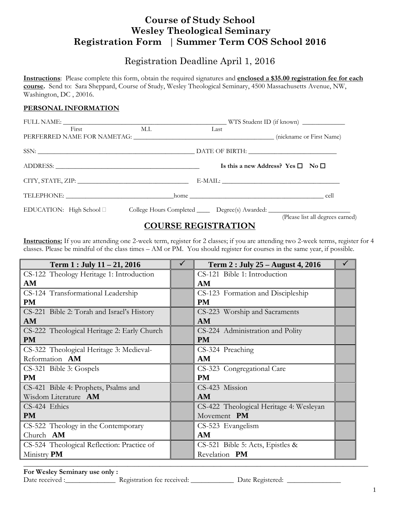## **Course of Study School Wesley Theological Seminary Registration Form │ Summer Term COS School 2016**

### Registration Deadline April 1, 2016

**Instructions**: Please complete this form, obtain the required signatures and **enclosed a \$35.00 registration fee for each course.** Send to: Sara Sheppard, Course of Study, Wesley Theological Seminary, 4500 Massachusetts Avenue, NW, Washington, DC , 20016.

#### **PERSONAL INFORMATION**

| First                                                                                               | M.I. | Last |                                                   |  |
|-----------------------------------------------------------------------------------------------------|------|------|---------------------------------------------------|--|
|                                                                                                     |      |      |                                                   |  |
|                                                                                                     |      |      | Is this a new Address? Yes $\square$ No $\square$ |  |
| CITY, STATE, ZIP: University of the CITY, STATE, ZIP:                                               |      |      |                                                   |  |
|                                                                                                     |      |      |                                                   |  |
| EDUCATION: High School □ College Hours Completed ______ Degree(s) Awarded: ________________________ |      |      | (Please list all degrees earned)                  |  |

### **COURSE REGISTRATION**

**Instructions:** If you are attending one 2-week term, register for 2 classes; if you are attending two 2-week terms, register for 4 classes. Please be mindful of the class times – AM or PM. You should register for courses in the same year, if possible.

| Term $1:$ July $11 - 21, 2016$              | ✓ | Term 2 : July 25 - August 4, 2016       |  |
|---------------------------------------------|---|-----------------------------------------|--|
| CS-122 Theology Heritage 1: Introduction    |   | CS-121 Bible 1: Introduction            |  |
| AM                                          |   | AM                                      |  |
| CS-124 Transformational Leadership          |   | CS-123 Formation and Discipleship       |  |
| <b>PM</b>                                   |   | <b>PM</b>                               |  |
| CS-221 Bible 2: Torah and Israel's History  |   | CS-223 Worship and Sacraments           |  |
| AM                                          |   | AM                                      |  |
| CS-222 Theological Heritage 2: Early Church |   | CS-224 Administration and Polity        |  |
| <b>PM</b>                                   |   | <b>PM</b>                               |  |
| CS-322 Theological Heritage 3: Medieval-    |   | CS-324 Preaching                        |  |
| Reformation AM                              |   | AM                                      |  |
| CS-321 Bible 3: Gospels                     |   | CS-323 Congregational Care              |  |
| <b>PM</b>                                   |   | <b>PM</b>                               |  |
| CS-421 Bible 4: Prophets, Psalms and        |   | CS-423 Mission                          |  |
| Wisdom Literature AM                        |   | <b>AM</b>                               |  |
| CS-424 Ethics                               |   | CS-422 Theological Heritage 4: Wesleyan |  |
| <b>PM</b>                                   |   | Movement PM                             |  |
| CS-522 Theology in the Contemporary         |   | CS-523 Evangelism                       |  |
| Church AM                                   |   | AM                                      |  |
| CS-524 Theological Reflection: Practice of  |   | CS-521 Bible 5: Acts, Epistles &        |  |
| Ministry PM                                 |   | Revelation PM                           |  |
|                                             |   |                                         |  |

**For Wesley Seminary use only :** 

Date received :\_\_\_\_\_\_\_\_\_\_\_\_\_\_ Registration fee received: \_\_\_\_\_\_\_\_\_\_\_\_ Date Registered: \_\_\_\_\_\_\_\_\_\_\_\_\_\_\_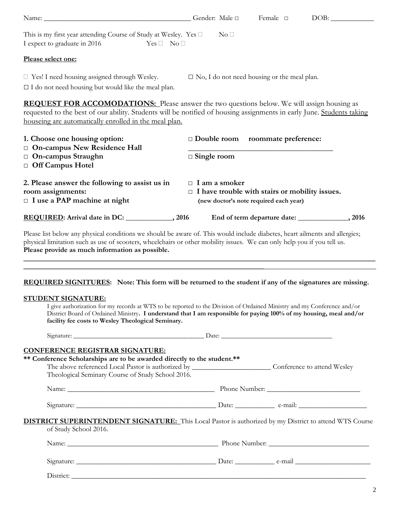|                                                                                                                                                                                                                                                                                                                                                                | Gender: Male $\square$                                                        | Female $\square$                       |  |  |  |
|----------------------------------------------------------------------------------------------------------------------------------------------------------------------------------------------------------------------------------------------------------------------------------------------------------------------------------------------------------------|-------------------------------------------------------------------------------|----------------------------------------|--|--|--|
| This is my first year attending Course of Study at Wesley. Yes $\square$<br>I expect to graduate in 2016<br>$Yes \Box No \Box$                                                                                                                                                                                                                                 | $\mathrm{No}\ \Box$                                                           |                                        |  |  |  |
| Please select one:                                                                                                                                                                                                                                                                                                                                             |                                                                               |                                        |  |  |  |
| $\Box$ Yes! I need housing assigned through Wesley.<br>$\Box$ I do not need housing but would like the meal plan.                                                                                                                                                                                                                                              | $\square$ No, I do not need housing or the meal plan.                         |                                        |  |  |  |
| <b>REQUEST FOR ACCOMODATIONS:</b> Please answer the two questions below. We will assign housing as<br>requested to the best of our ability. Students will be notified of housing assignments in early June. Students taking<br>houseing are automatically enrolled in the meal plan.                                                                           |                                                                               |                                        |  |  |  |
| 1. Choose one housing option:                                                                                                                                                                                                                                                                                                                                  | Double room roommate preference:                                              |                                        |  |  |  |
| On-campus New Residence Hall<br>On-campus Straughn<br>Off Campus Hotel                                                                                                                                                                                                                                                                                         | $\Box$ Single room                                                            |                                        |  |  |  |
| 2. Please answer the following to assist us in<br>room assignments:<br>$\Box$ I use a PAP machine at night                                                                                                                                                                                                                                                     | $\Box$ I am a smoker<br>$\Box$ I have trouble with stairs or mobility issues. | (new doctor's note required each year) |  |  |  |
|                                                                                                                                                                                                                                                                                                                                                                |                                                                               |                                        |  |  |  |
| REQUIRED: Arrival date in DC: _____________, 2016<br>Please list below any physical conditions we should be aware of. This would include diabetes, heart ailments and allergies;<br>physical limitation such as use of scooters, wheelchairs or other mobility issues. We can only help you if you tell us.<br>Please provide as much information as possible. |                                                                               |                                        |  |  |  |
| I give authorization for my records at WTS to be reported to the Division of Ordained Ministry and my Conference and/or<br>District Board of Ordained Ministry. I understand that I am responsible for paying 100% of my housing, meal and/or                                                                                                                  |                                                                               |                                        |  |  |  |
| REQUIRED SIGNITURES: Note: This form will be returned to the student if any of the signatures are missing.<br><b>STUDENT SIGNATURE:</b><br>facility fee costs to Wesley Theological Seminary.                                                                                                                                                                  |                                                                               |                                        |  |  |  |
| <b>CONFERENCE REGISTRAR SIGNATURE:</b><br>** Conference Scholarships are to be awarded directly to the student.**<br>The above referenced Local Pastor is authorized by ___________________________Conference to attend Wesley<br>Theological Seminary Course of Study School 2016.                                                                            |                                                                               |                                        |  |  |  |
|                                                                                                                                                                                                                                                                                                                                                                |                                                                               |                                        |  |  |  |
| of Study School 2016.                                                                                                                                                                                                                                                                                                                                          |                                                                               |                                        |  |  |  |
| <b>DISTRICT SUPERINTENDENT SIGNATURE:</b> This Local Pastor is authorized by my District to attend WTS Course                                                                                                                                                                                                                                                  |                                                                               |                                        |  |  |  |
|                                                                                                                                                                                                                                                                                                                                                                |                                                                               |                                        |  |  |  |